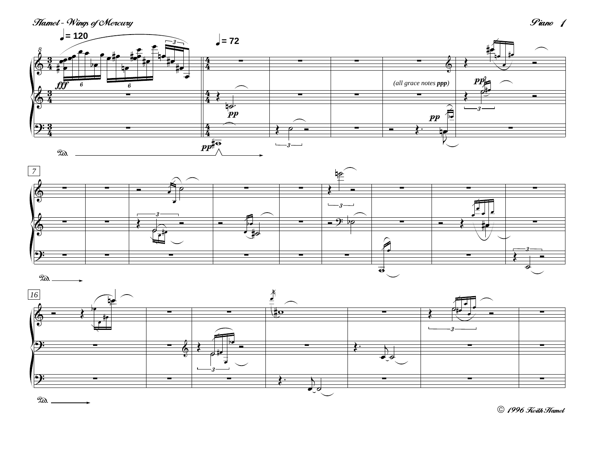





1996 Keith Hamel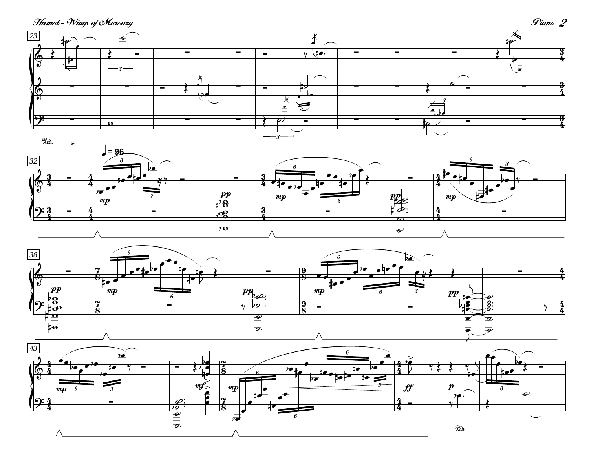



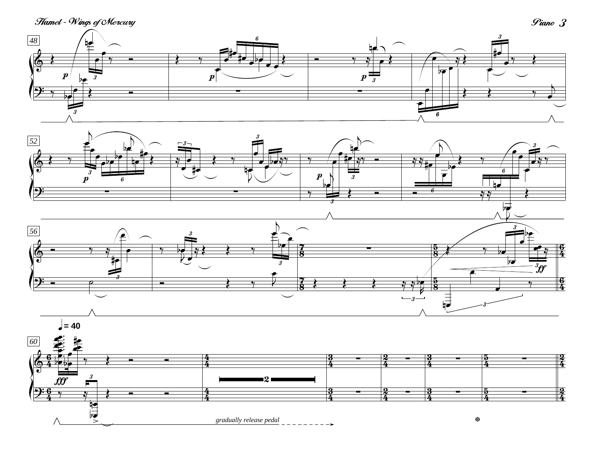



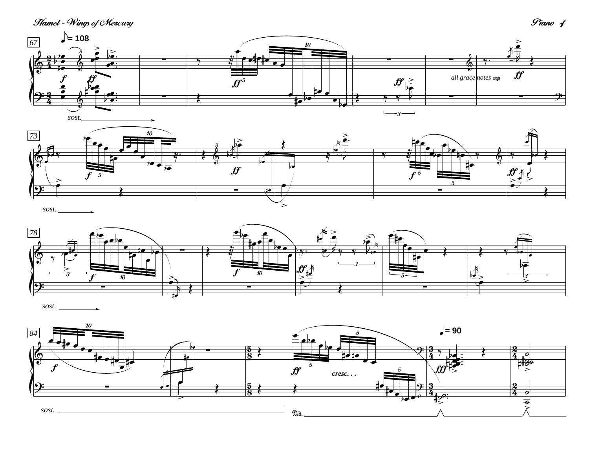Hamel - Wings of Mercury









*sost.*

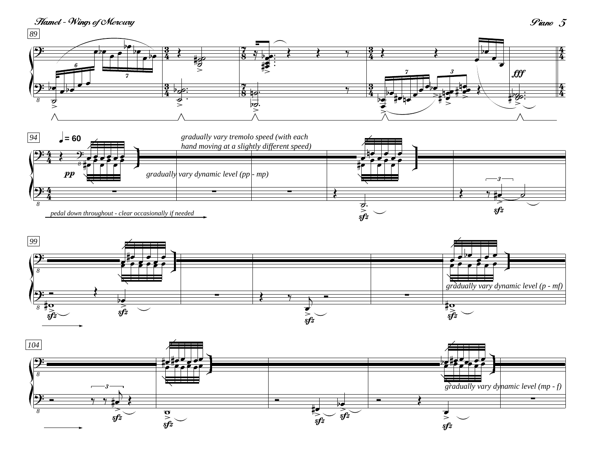





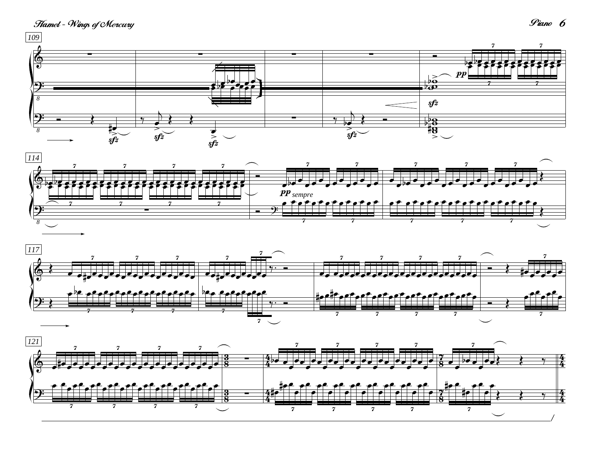







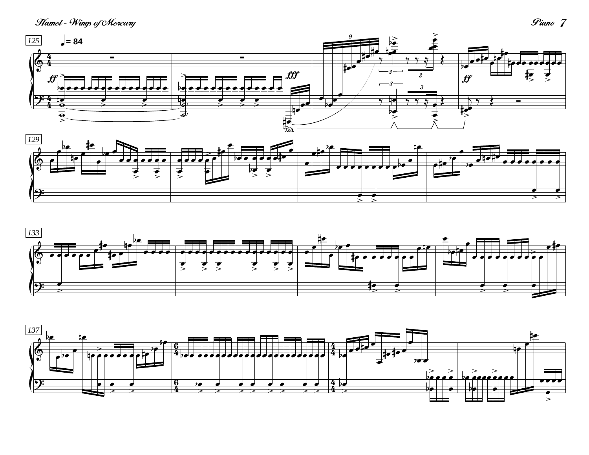**CO** 

*125*

4









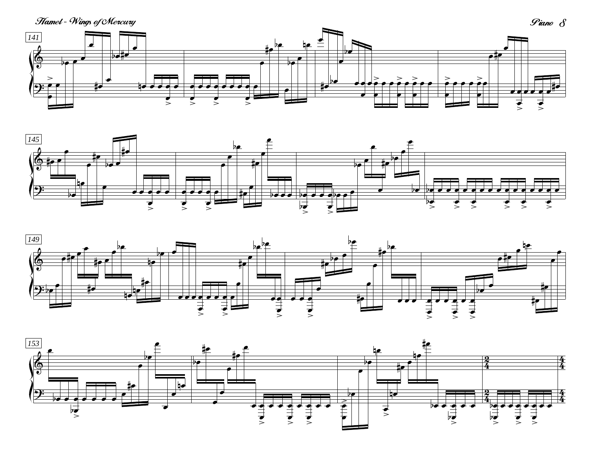Hamel - Wings of Mercury







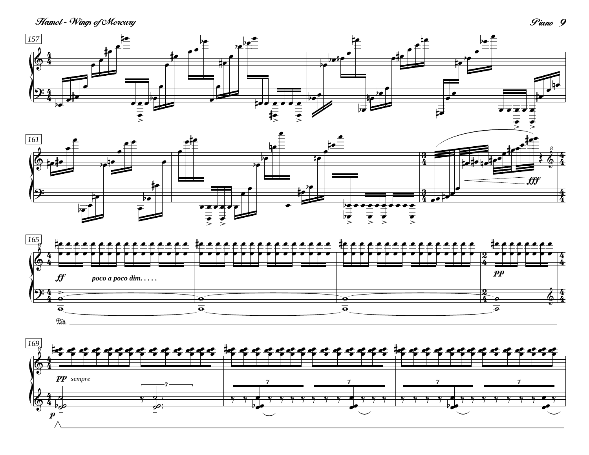Hamel - Wings of Mercury







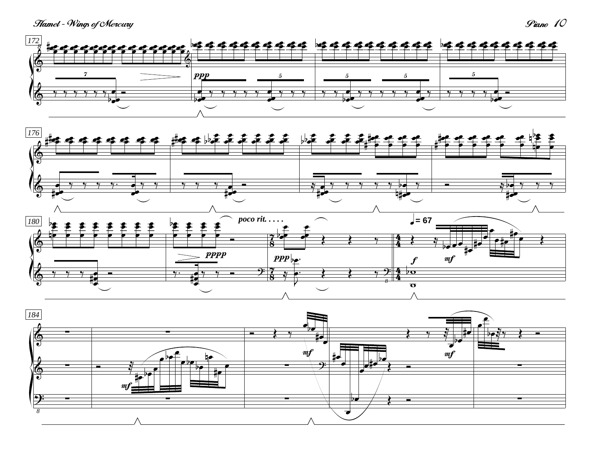Hamel - Wings of Mercury







Piano 10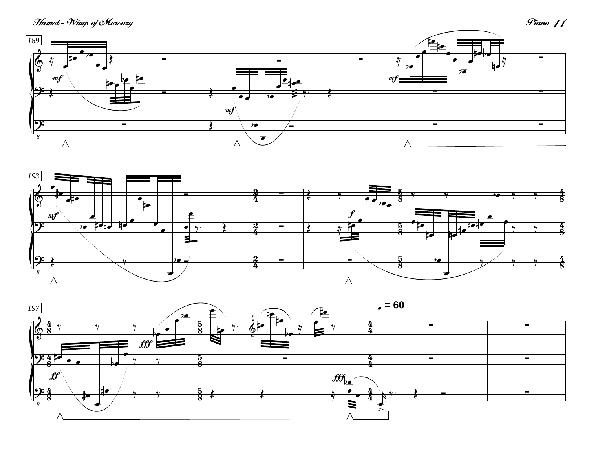Hamel - Wings of Mercury





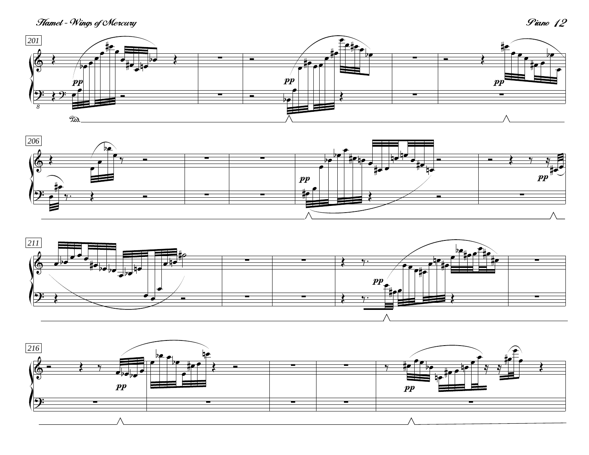Hamel - Wings of Mercury







![](_page_11_Figure_5.jpeg)